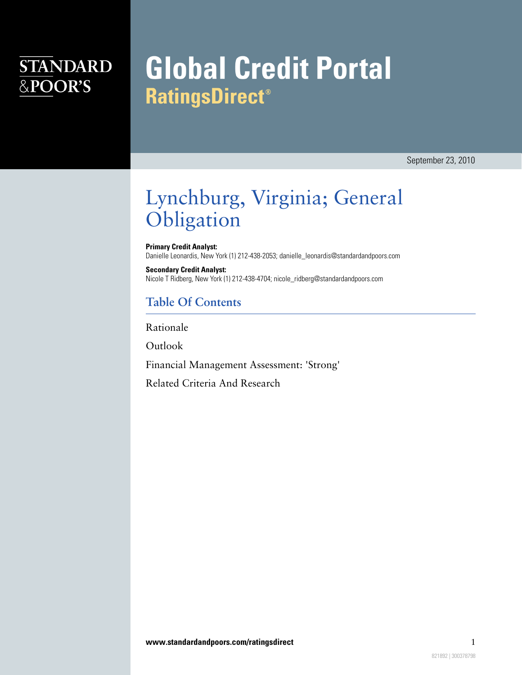### **STANDARD** &POOR'S

# **Global Credit Portal RatingsDirect®**

September 23, 2010

### Lynchburg, Virginia; General **Obligation**

**Primary Credit Analyst:** Danielle Leonardis, New York (1) 212-438-2053; danielle\_leonardis@standardandpoors.com

**Secondary Credit Analyst:** Nicole T Ridberg, New York (1) 212-438-4704; nicole\_ridberg@standardandpoors.com

### **Table Of Contents**

[Rationale](#page-1-0)

[Outlook](#page-3-0)

[Financial Management Assessment: 'Strong'](#page-3-1)

[Related Criteria And Research](#page-4-0)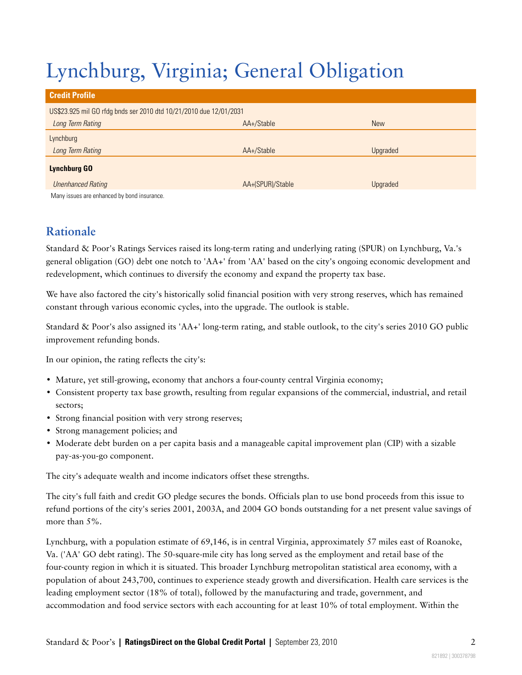## Lynchburg, Virginia; General Obligation

| <b>Credit Profile</b>                                              |                  |            |  |  |
|--------------------------------------------------------------------|------------------|------------|--|--|
| US\$23.925 mil GO rfdg bnds ser 2010 dtd 10/21/2010 due 12/01/2031 |                  |            |  |  |
| Long Term Rating                                                   | AA+/Stable       | <b>New</b> |  |  |
| Lynchburg                                                          |                  |            |  |  |
| Long Term Rating                                                   | AA+/Stable       | Upgraded   |  |  |
| <b>Lynchburg GO</b>                                                |                  |            |  |  |
| <b>Unenhanced Rating</b>                                           | AA+(SPUR)/Stable | Upgraded   |  |  |
| Many issues are enhanced by bond insurance.                        |                  |            |  |  |

### <span id="page-1-0"></span>**Rationale**

Standard & Poor's Ratings Services raised its long-term rating and underlying rating (SPUR) on Lynchburg, Va.'s general obligation (GO) debt one notch to 'AA+' from 'AA' based on the city's ongoing economic development and redevelopment, which continues to diversify the economy and expand the property tax base.

We have also factored the city's historically solid financial position with very strong reserves, which has remained constant through various economic cycles, into the upgrade. The outlook is stable.

Standard & Poor's also assigned its 'AA+' long-term rating, and stable outlook, to the city's series 2010 GO public improvement refunding bonds.

In our opinion, the rating reflects the city's:

- Mature, yet still-growing, economy that anchors a four-county central Virginia economy;
- Consistent property tax base growth, resulting from regular expansions of the commercial, industrial, and retail sectors;
- Strong financial position with very strong reserves;
- Strong management policies; and
- Moderate debt burden on a per capita basis and a manageable capital improvement plan (CIP) with a sizable pay-as-you-go component.

The city's adequate wealth and income indicators offset these strengths.

The city's full faith and credit GO pledge secures the bonds. Officials plan to use bond proceeds from this issue to refund portions of the city's series 2001, 2003A, and 2004 GO bonds outstanding for a net present value savings of more than 5%.

Lynchburg, with a population estimate of 69,146, is in central Virginia, approximately 57 miles east of Roanoke, Va. ('AA' GO debt rating). The 50-square-mile city has long served as the employment and retail base of the four-county region in which it is situated. This broader Lynchburg metropolitan statistical area economy, with a population of about 243,700, continues to experience steady growth and diversification. Health care services is the leading employment sector (18% of total), followed by the manufacturing and trade, government, and accommodation and food service sectors with each accounting for at least 10% of total employment. Within the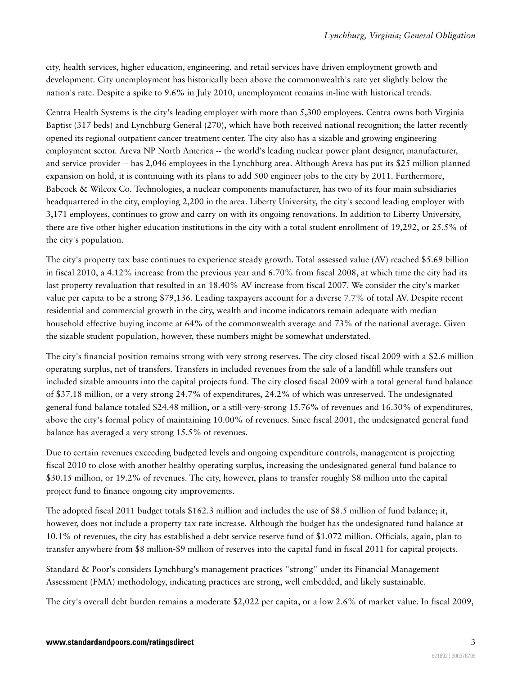city, health services, higher education, engineering, and retail services have driven employment growth and development. City unemployment has historically been above the commonwealth's rate yet slightly below the nation's rate. Despite a spike to 9.6% in July 2010, unemployment remains in-line with historical trends.

Centra Health Systems is the city's leading employer with more than 5,300 employees. Centra owns both Virginia Baptist (317 beds) and Lynchburg General (270), which have both received national recognition; the latter recently opened its regional outpatient cancer treatment center. The city also has a sizable and growing engineering employment sector. Areva NP North America -- the world's leading nuclear power plant designer, manufacturer, and service provider -- has 2,046 employees in the Lynchburg area. Although Areva has put its \$25 million planned expansion on hold, it is continuing with its plans to add 500 engineer jobs to the city by 2011. Furthermore, Babcock & Wilcox Co. Technologies, a nuclear components manufacturer, has two of its four main subsidiaries headquartered in the city, employing 2,200 in the area. Liberty University, the city's second leading employer with 3,171 employees, continues to grow and carry on with its ongoing renovations. In addition to Liberty University, there are five other higher education institutions in the city with a total student enrollment of 19,292, or 25.5% of the city's population.

The city's property tax base continues to experience steady growth. Total assessed value (AV) reached \$5.69 billion in fiscal 2010, a 4.12% increase from the previous year and 6.70% from fiscal 2008, at which time the city had its last property revaluation that resulted in an 18.40% AV increase from fiscal 2007. We consider the city's market value per capita to be a strong \$79,136. Leading taxpayers account for a diverse 7.7% of total AV. Despite recent residential and commercial growth in the city, wealth and income indicators remain adequate with median household effective buying income at 64% of the commonwealth average and 73% of the national average. Given the sizable student population, however, these numbers might be somewhat understated.

The city's financial position remains strong with very strong reserves. The city closed fiscal 2009 with a \$2.6 million operating surplus, net of transfers. Transfers in included revenues from the sale of a landfill while transfers out included sizable amounts into the capital projects fund. The city closed fiscal 2009 with a total general fund balance of \$37.18 million, or a very strong 24.7% of expenditures, 24.2% of which was unreserved. The undesignated general fund balance totaled \$24.48 million, or a still-very-strong 15.76% of revenues and 16.30% of expenditures, above the city's formal policy of maintaining 10.00% of revenues. Since fiscal 2001, the undesignated general fund balance has averaged a very strong 15.5% of revenues.

Due to certain revenues exceeding budgeted levels and ongoing expenditure controls, management is projecting fiscal 2010 to close with another healthy operating surplus, increasing the undesignated general fund balance to \$30.15 million, or 19.2% of revenues. The city, however, plans to transfer roughly \$8 million into the capital project fund to finance ongoing city improvements.

The adopted fiscal 2011 budget totals \$162.3 million and includes the use of \$8.5 million of fund balance; it, however, does not include a property tax rate increase. Although the budget has the undesignated fund balance at 10.1% of revenues, the city has established a debt service reserve fund of \$1.072 million. Officials, again, plan to transfer anywhere from \$8 million-\$9 million of reserves into the capital fund in fiscal 2011 for capital projects.

Standard & Poor's considers Lynchburg's management practices "strong" under its Financial Management Assessment (FMA) methodology, indicating practices are strong, well embedded, and likely sustainable.

The city's overall debt burden remains a moderate \$2,022 per capita, or a low 2.6% of market value. In fiscal 2009,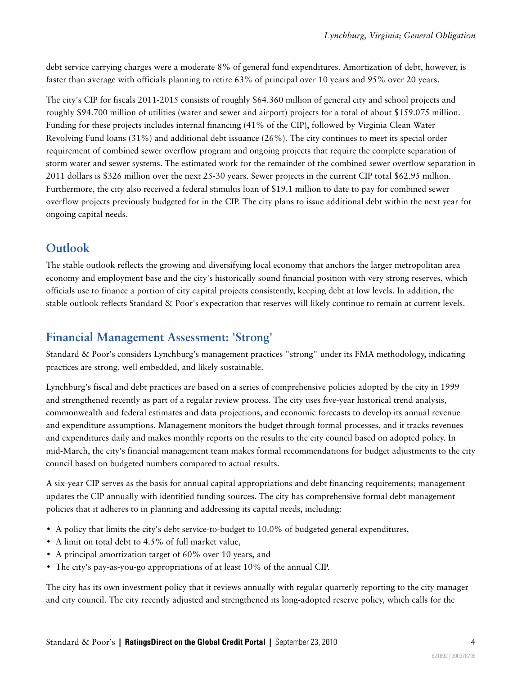debt service carrying charges were a moderate 8% of general fund expenditures. Amortization of debt, however, is faster than average with officials planning to retire 63% of principal over 10 years and 95% over 20 years.

The city's CIP for fiscals 2011-2015 consists of roughly \$64.360 million of general city and school projects and roughly \$94.700 million of utilities (water and sewer and airport) projects for a total of about \$159.075 million. Funding for these projects includes internal financing (41% of the CIP), followed by Virginia Clean Water Revolving Fund loans (31%) and additional debt issuance (26%). The city continues to meet its special order requirement of combined sewer overflow program and ongoing projects that require the complete separation of storm water and sewer systems. The estimated work for the remainder of the combined sewer overflow separation in 2011 dollars is \$326 million over the next 25-30 years. Sewer projects in the current CIP total \$62.95 million. Furthermore, the city also received a federal stimulus loan of \$19.1 million to date to pay for combined sewer overflow projects previously budgeted for in the CIP. The city plans to issue additional debt within the next year for ongoing capital needs.

#### <span id="page-3-0"></span>**Outlook**

The stable outlook reflects the growing and diversifying local economy that anchors the larger metropolitan area economy and employment base and the city's historically sound financial position with very strong reserves, which officials use to finance a portion of city capital projects consistently, keeping debt at low levels. In addition, the stable outlook reflects Standard & Poor's expectation that reserves will likely continue to remain at current levels.

#### <span id="page-3-1"></span>**Financial Management Assessment: 'Strong'**

Standard & Poor's considers Lynchburg's management practices "strong" under its FMA methodology, indicating practices are strong, well embedded, and likely sustainable.

Lynchburg's fiscal and debt practices are based on a series of comprehensive policies adopted by the city in 1999 and strengthened recently as part of a regular review process. The city uses five-year historical trend analysis, commonwealth and federal estimates and data projections, and economic forecasts to develop its annual revenue and expenditure assumptions. Management monitors the budget through formal processes, and it tracks revenues and expenditures daily and makes monthly reports on the results to the city council based on adopted policy. In mid-March, the city's financial management team makes formal recommendations for budget adjustments to the city council based on budgeted numbers compared to actual results.

A six-year CIP serves as the basis for annual capital appropriations and debt financing requirements; management updates the CIP annually with identified funding sources. The city has comprehensive formal debt management policies that it adheres to in planning and addressing its capital needs, including:

- A policy that limits the city's debt service-to-budget to 10.0% of budgeted general expenditures,
- A limit on total debt to 4.5% of full market value,
- A principal amortization target of 60% over 10 years, and
- The city's pay-as-you-go appropriations of at least 10% of the annual CIP.

The city has its own investment policy that it reviews annually with regular quarterly reporting to the city manager and city council. The city recently adjusted and strengthened its long-adopted reserve policy, which calls for the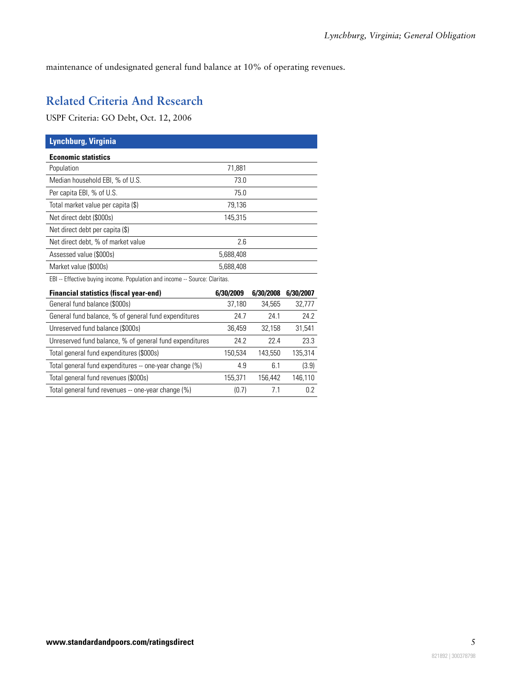<span id="page-4-0"></span>maintenance of undesignated general fund balance at 10% of operating revenues.

### **Related Criteria And Research**

USPF Criteria: GO Debt, Oct. 12, 2006

| Lynchburg, Virginia                                                        |           |           |           |  |
|----------------------------------------------------------------------------|-----------|-----------|-----------|--|
| <b>Economic statistics</b>                                                 |           |           |           |  |
| Population                                                                 | 71,881    |           |           |  |
| Median household EBI, % of U.S.                                            | 73.0      |           |           |  |
| Per capita EBI, % of U.S.                                                  | 75.0      |           |           |  |
| Total market value per capita (\$)                                         | 79,136    |           |           |  |
| Net direct debt (\$000s)                                                   | 145,315   |           |           |  |
| Net direct debt per capita (\$)                                            |           |           |           |  |
| Net direct debt, % of market value                                         | 2.6       |           |           |  |
| Assessed value (\$000s)                                                    | 5,688,408 |           |           |  |
| Market value (\$000s)                                                      | 5,688,408 |           |           |  |
| EBI -- Effective buying income. Population and income -- Source: Claritas. |           |           |           |  |
| <b>Financial statistics (fiscal year-end)</b>                              | 6/30/2009 | 6/30/2008 | 6/30/2007 |  |
| General fund balance (\$000s)                                              | 37,180    | 34,565    | 32,777    |  |
| General fund balance, % of general fund expenditures                       | 24.7      | 24.1      | 24.2      |  |
| Unreserved fund balance (\$000s)                                           | 36,459    | 32,158    | 31,541    |  |
| Unreserved fund balance, % of general fund expenditures                    | 24.2      | 22.4      | 23.3      |  |
| Total general fund expenditures (\$000s)                                   | 150,534   | 143,550   | 135,314   |  |
| Total general fund expenditures -- one-year change (%)                     | 4.9       | 6.1       | (3.9)     |  |
| Total general fund revenues (\$000s)                                       | 155,371   | 156,442   | 146,110   |  |
| Total general fund revenues -- one-year change (%)                         | (0.7)     | 7.1       | 0.2       |  |